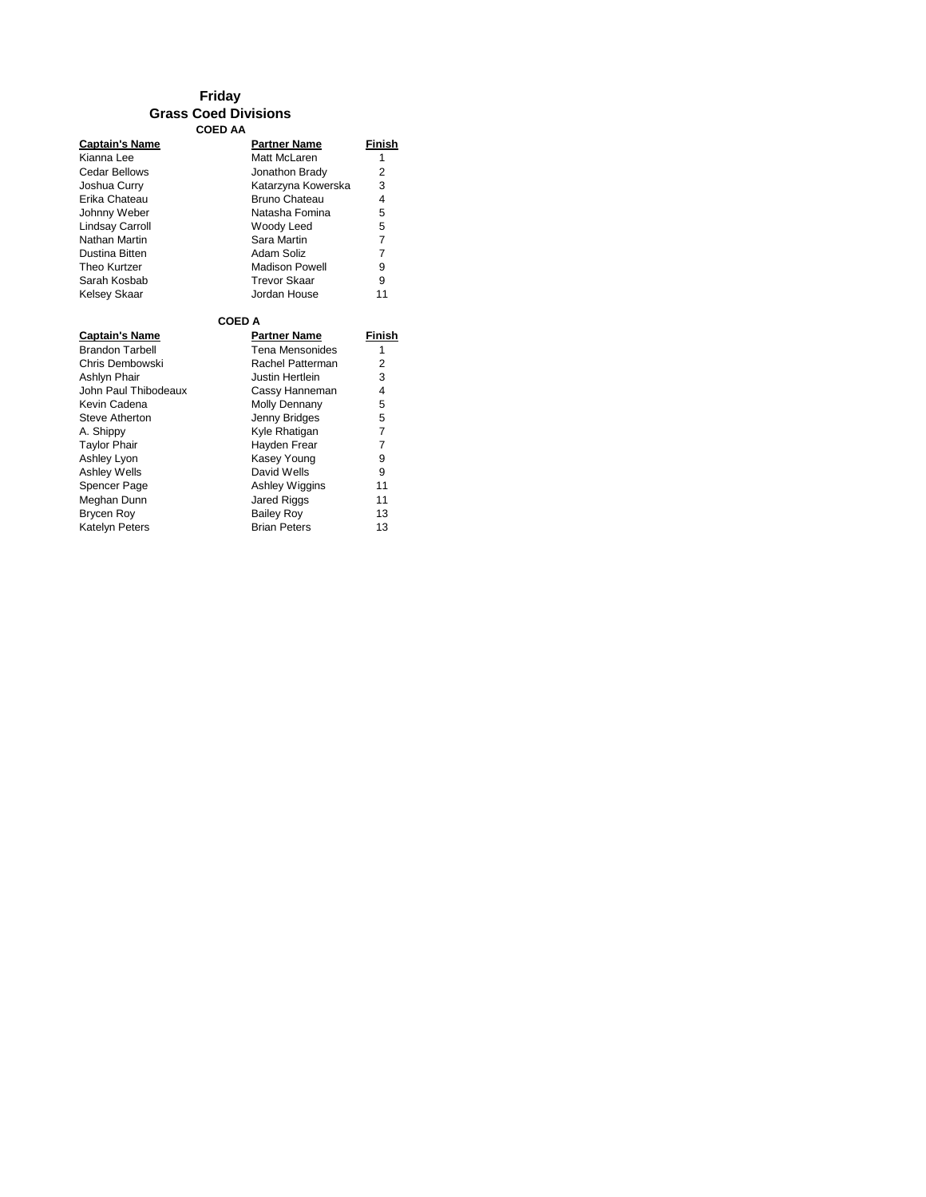### **Friday Grass Coed Divisions COED AA**

| <b>Captain's Name</b>  | <b>Partner Name</b>    | Finish         |  |
|------------------------|------------------------|----------------|--|
| Kianna Lee             | Matt McLaren           | 1              |  |
| Cedar Bellows          | Jonathon Brady         | $\overline{2}$ |  |
| Joshua Curry           | Katarzyna Kowerska     | 3              |  |
| Erika Chateau          | Bruno Chateau          | 4              |  |
| Johnny Weber           | Natasha Fomina         | 5              |  |
| <b>Lindsay Carroll</b> | Woody Leed             | 5              |  |
| Nathan Martin          | Sara Martin            | 7              |  |
| Dustina Bitten         | Adam Soliz             | 7              |  |
| Theo Kurtzer           | <b>Madison Powell</b>  | 9              |  |
| Sarah Kosbab           | <b>Trevor Skaar</b>    | 9              |  |
| <b>Kelsey Skaar</b>    | Jordan House           | 11             |  |
| <b>COED A</b>          |                        |                |  |
| <b>Captain's Name</b>  | <b>Partner Name</b>    | Finish         |  |
| <b>Brandon Tarbell</b> | <b>Tena Mensonides</b> | 1              |  |
| Chris Dembowski        | Rachel Patterman       | 2              |  |
| Ashlyn Phair           | Justin Hertlein        | 3              |  |
| John Paul Thibodeaux   | Cassy Hanneman         | 4              |  |
| Kevin Cadena           | Molly Dennany          | 5              |  |
| Steve Atherton         | Jenny Bridges          | 5              |  |
| A. Shippy              | Kyle Rhatigan          | 7              |  |
| <b>Taylor Phair</b>    | Hayden Frear           | $\overline{7}$ |  |
| Ashley Lyon            | Kasey Young            | 9              |  |
| <b>Ashley Wells</b>    | David Wells            | 9              |  |
| Spencer Page           | Ashley Wiggins         | 11             |  |
| Meghan Dunn            | Jared Riggs            | 11             |  |
| Brycen Roy             | <b>Bailey Roy</b>      | 13             |  |
| <b>Katelyn Peters</b>  | <b>Brian Peters</b>    | 13             |  |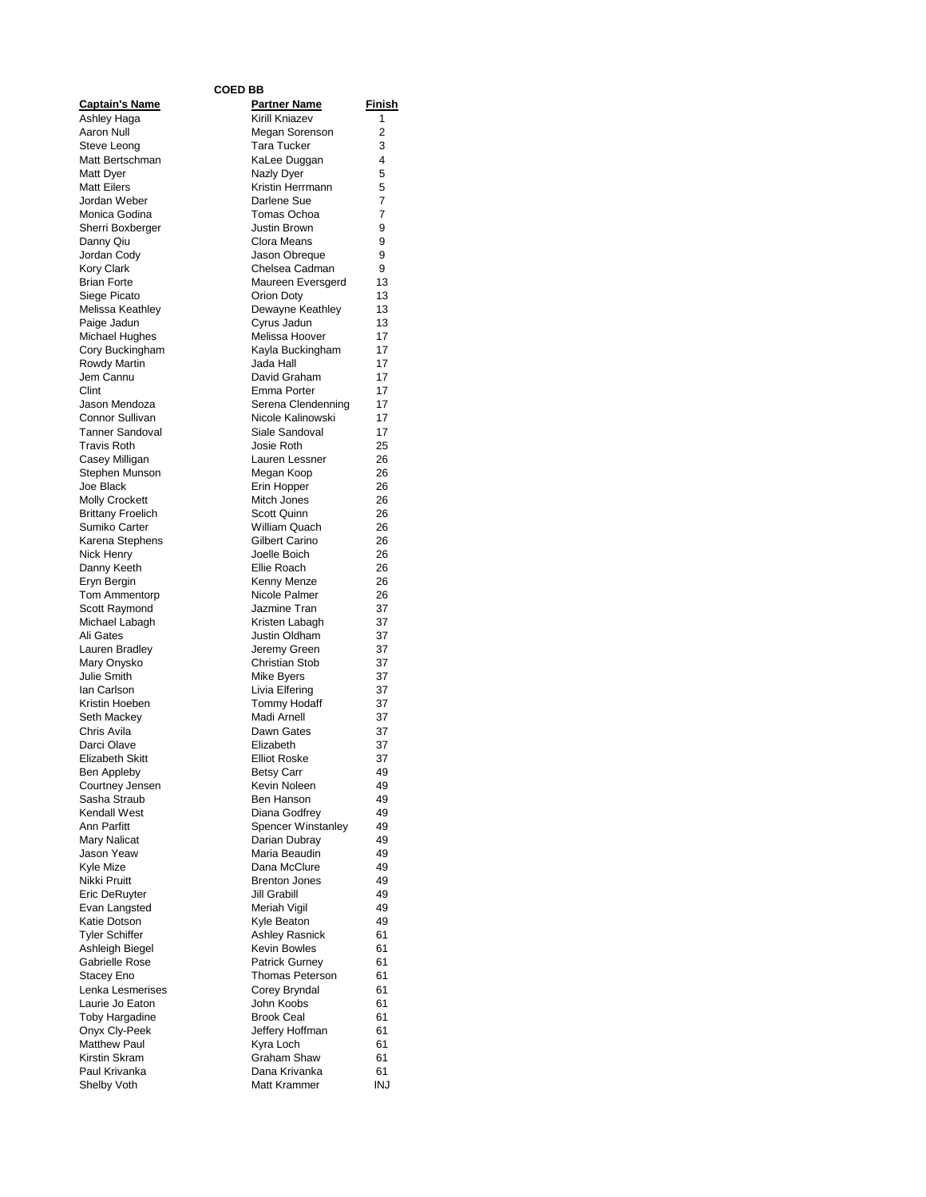#### **COED BB**

|                                          | <b>COED BB</b>                        |                     |
|------------------------------------------|---------------------------------------|---------------------|
| <u> Captain's Name</u>                   | <b>Partner Name</b>                   | <u>Finish</u>       |
| Ashley Haga                              | <b>Kirill Kniazev</b>                 | 1                   |
| Aaron Null<br>Steve Leong                | Megan Sorenson<br><b>Tara Tucker</b>  | $\overline{2}$<br>3 |
| Matt Bertschman                          | KaLee Duggan                          | 4                   |
| Matt Dyer                                | Nazly Dyer                            | 5                   |
| <b>Matt Eilers</b>                       | Kristin Herrmann                      | 5                   |
| Jordan Weber                             | Darlene Sue                           | 7                   |
| Monica Godina                            | Tomas Ochoa                           | 7                   |
| Sherri Boxberger                         | Justin Brown                          | 9                   |
| Danny Qiu                                | Clora Means                           | 9                   |
| Jordan Cody                              | Jason Obreque                         | 9                   |
| Kory Clark                               | Chelsea Cadman                        | 9                   |
| <b>Brian Forte</b>                       | Maureen Eversgerd                     | 13                  |
| Siege Picato<br>Melissa Keathley         | Orion Doty<br>Dewayne Keathley        | 13<br>13            |
| Paige Jadun                              | Cyrus Jadun                           | 13                  |
| Michael Hughes                           | Melissa Hoover                        | 17                  |
| Cory Buckingham                          | Kayla Buckingham                      | 17                  |
| Rowdy Martin                             | Jada Hall                             | 17                  |
| Jem Cannu                                | David Graham                          | 17                  |
| Clint                                    | Emma Porter                           | 17                  |
| Jason Mendoza                            | Serena Clendenning                    | 17                  |
| Connor Sullivan                          | Nicole Kalinowski                     | 17                  |
| Tanner Sandoval                          | Siale Sandoval                        | 17                  |
| <b>Travis Roth</b>                       | Josie Roth                            | 25                  |
| Casey Milligan<br>Stephen Munson         | Lauren Lessner<br>Megan Koop          | 26<br>26            |
| Joe Black                                | Erin Hopper                           | 26                  |
| <b>Molly Crockett</b>                    | Mitch Jones                           | 26                  |
| <b>Brittany Froelich</b>                 | Scott Quinn                           | 26                  |
| Sumiko Carter                            | William Quach                         | 26                  |
| Karena Stephens                          | Gilbert Carino                        | 26                  |
| Nick Henry                               | Joelle Boich                          | 26                  |
| Danny Keeth                              | Ellie Roach                           | 26                  |
| Eryn Bergin                              | Kenny Menze                           | 26                  |
| Tom Ammentorp                            | Nicole Palmer                         | 26                  |
| Scott Raymond                            | Jazmine Tran                          | 37                  |
| Michael Labagh<br>Ali Gates              | Kristen Labagh<br>Justin Oldham       | 37<br>37            |
| Lauren Bradley                           | Jeremy Green                          | 37                  |
| Mary Onysko                              | <b>Christian Stob</b>                 | 37                  |
| Julie Smith                              | <b>Mike Byers</b>                     | 37                  |
| lan Carlson                              | Livia Elfering                        | 37                  |
| Kristin Hoeben                           | <b>Tommy Hodaff</b>                   | 37                  |
| Seth Mackey                              | Madi Arnell                           | 37                  |
| Chris Avila                              | Dawn Gates                            | 37                  |
| Darci Olave                              | Elizabeth                             | 37                  |
| <b>Elizabeth Skitt</b>                   | <b>Elliot Roske</b>                   | 37                  |
| Ben Appleby<br>Courtney Jensen           | Betsy Carr<br>Kevin Noleen            | 49<br>49            |
| Sasha Straub                             | Ben Hanson                            | 49                  |
| Kendall West                             | Diana Godfrey                         | 49                  |
| Ann Parfitt                              | <b>Spencer Winstanley</b>             | 49                  |
| Mary Nalicat                             | Darian Dubray                         | 49                  |
| Jason Yeaw                               | Maria Beaudin                         | 49                  |
| Kvle Mize                                | Dana McClure                          | 49                  |
| Nikki Pruitt                             | <b>Brenton Jones</b>                  | 49                  |
| Eric DeRuyter                            | Jill Grabill                          | 49                  |
| Evan Langsted                            | Meriah Vigil                          | 49                  |
| Katie Dotson                             | Kyle Beaton                           | 49                  |
| <b>Tyler Schiffer</b><br>Ashleigh Biegel | <b>Ashley Rasnick</b><br>Kevin Bowles | 61<br>61            |
| Gabrielle Rose                           | <b>Patrick Gurney</b>                 | 61                  |
| Stacey Eno                               | <b>Thomas Peterson</b>                | 61                  |
| Lenka Lesmerises                         | Corey Bryndal                         | 61                  |
| Laurie Jo Eaton                          | John Koobs                            | 61                  |
| Toby Hargadine                           | <b>Brook Ceal</b>                     | 61                  |
| Onyx Cly-Peek                            | Jeffery Hoffman                       | 61                  |
| <b>Matthew Paul</b>                      | Kyra Loch                             | 61                  |
| Kirstin Skram                            | Graham Shaw                           | 61                  |
| Paul Krivanka                            | Dana Krivanka                         | 61                  |
| Shelby Voth                              | Matt Krammer                          | <b>INJ</b>          |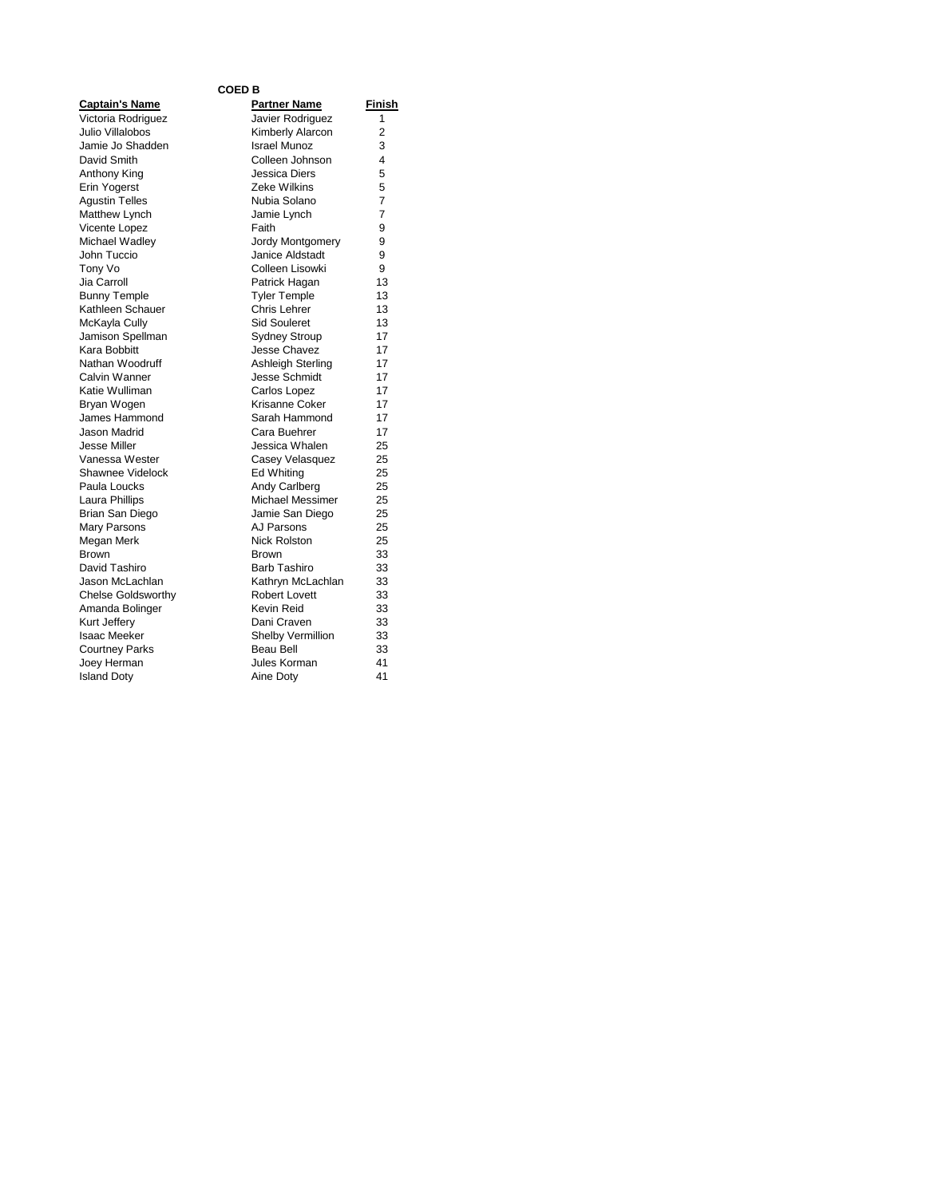### **COED B**

| <b>Captain's Name</b>     |
|---------------------------|
| Victoria Rodriguez        |
| Julio Villalobos          |
| Jamie Jo Shadden          |
| David Smith               |
| <b>Anthony King</b>       |
| Erin Yogerst              |
| <b>Agustin Telles</b>     |
| Matthew Lynch             |
| Vicente Lopez             |
| Michael Wadley            |
| John Tuccio               |
| Tony Vo                   |
| Jia Carroll               |
| <b>Bunny Temple</b>       |
| Kathleen Schauer          |
| McKayla Cully             |
| Jamison Spellman          |
| Kara Bobbitt              |
| Nathan Woodruff           |
| Calvin Wanner             |
| Katie Wulliman            |
| Bryan Wogen               |
| James Hammond             |
| Jason Madrid              |
| <b>Jesse Miller</b>       |
| Vanessa Wester            |
| Shawnee Videlock          |
| Paula Loucks              |
| Laura Phillips            |
| <b>Brian San Diego</b>    |
| Mary Parsons              |
| Megan Merk                |
| <b>Brown</b>              |
| David Tashiro             |
| Jason McLachlan           |
| <b>Chelse Goldsworthy</b> |
| Amanda Bolinger           |
| Kurt Jeffery              |
| <b>Isaac Meeker</b>       |
| <b>Courtney Parks</b>     |
| Joey Herman               |
| <b>Island Doty</b>        |
|                           |

| <b>Captain's Name</b>     | <b>Partner Name</b>     | Finish         |
|---------------------------|-------------------------|----------------|
| Victoria Rodriguez        | Javier Rodriguez        | 1              |
| Julio Villalobos          | Kimberly Alarcon        | $\overline{c}$ |
| Jamie Jo Shadden          | <b>Israel Munoz</b>     | 3              |
| David Smith               | Colleen Johnson         | 4              |
| Anthony King              | Jessica Diers           | 5              |
| Erin Yogerst              | Zeke Wilkins            | 5              |
| <b>Agustin Telles</b>     | Nubia Solano            | 7              |
| Matthew Lynch             | Jamie Lynch             | $\overline{7}$ |
| Vicente Lopez             | Faith                   | 9              |
| Michael Wadley            | Jordy Montgomery        | 9              |
| John Tuccio               | Janice Aldstadt         | 9              |
| Tony Vo                   | Colleen Lisowki         | 9              |
| Jia Carroll               | Patrick Hagan           | 13             |
| <b>Bunny Temple</b>       | <b>Tyler Temple</b>     | 13             |
| Kathleen Schauer          | Chris Lehrer            | 13             |
| McKayla Cully             | <b>Sid Souleret</b>     | 13             |
| Jamison Spellman          | <b>Sydney Stroup</b>    | 17             |
| Kara Bobbitt              | <b>Jesse Chavez</b>     | 17             |
| Nathan Woodruff           | Ashleigh Sterling       | 17             |
| Calvin Wanner             | <b>Jesse Schmidt</b>    | 17             |
| Katie Wulliman            | Carlos Lopez            | 17             |
| Bryan Wogen               | Krisanne Coker          | 17             |
| James Hammond             | Sarah Hammond           | 17             |
| Jason Madrid              | Cara Buehrer            | 17             |
| Jesse Miller              | Jessica Whalen          | 25             |
| Vanessa Wester            | Casey Velasquez         | 25             |
| Shawnee Videlock          | Ed Whiting              | 25             |
| Paula Loucks              | Andy Carlberg           | 25             |
| Laura Phillips            | <b>Michael Messimer</b> | 25             |
| Brian San Diego           | Jamie San Diego         | 25             |
| Mary Parsons              | AJ Parsons              | 25             |
| Megan Merk                | <b>Nick Rolston</b>     | 25             |
| Brown                     | <b>Brown</b>            | 33             |
| David Tashiro             | <b>Barb Tashiro</b>     | 33             |
| Jason McLachlan           | Kathryn McLachlan       | 33             |
| <b>Chelse Goldsworthy</b> | <b>Robert Lovett</b>    | 33             |
| Amanda Bolinger           | Kevin Reid              | 33             |
| Kurt Jeffery              | Dani Craven             | 33             |
| Isaac Meeker              | Shelby Vermillion       | 33             |
| <b>Courtney Parks</b>     | <b>Beau Bell</b>        | 33             |
| Joey Herman               | Jules Korman            | 41             |
| <b>Island Doty</b>        | Aine Doty               | 41             |
|                           |                         |                |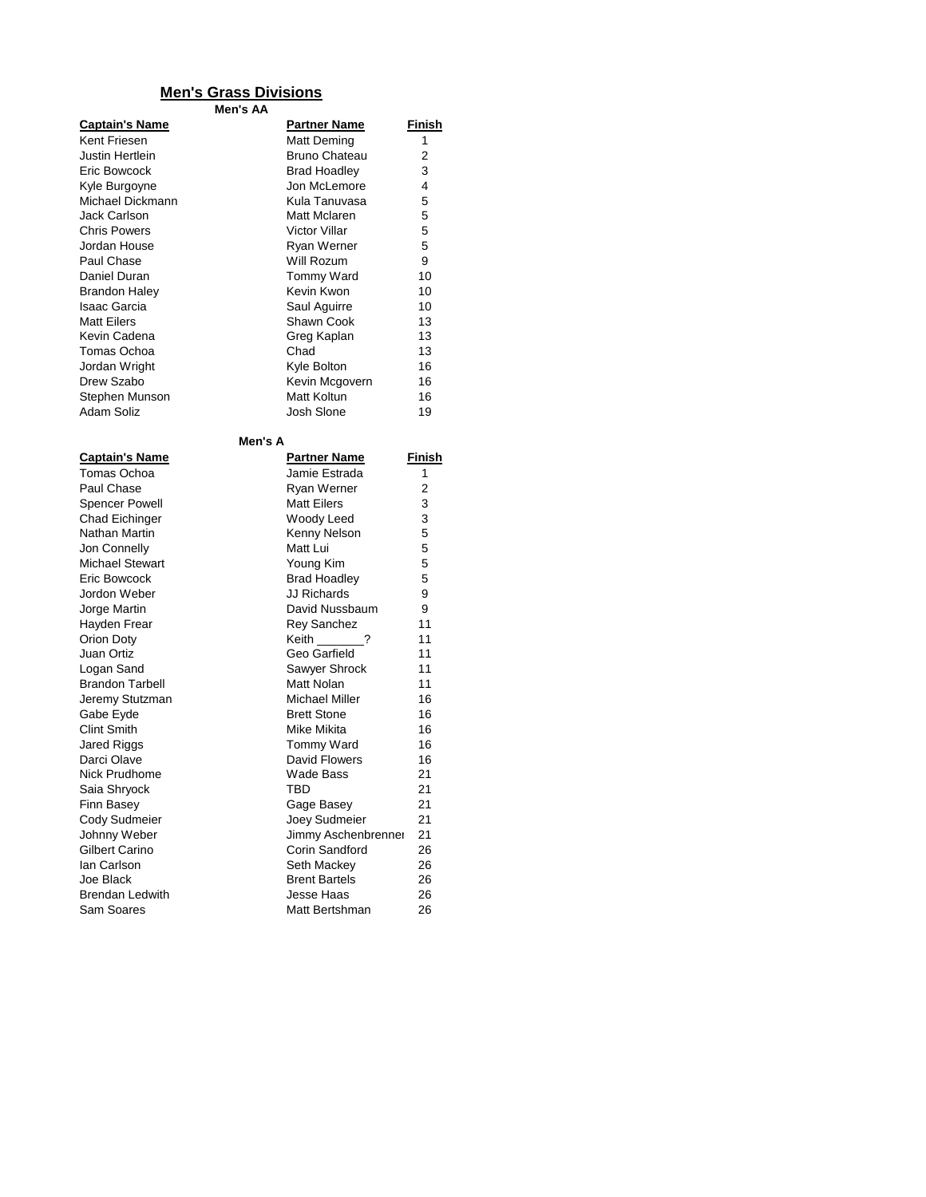## **Men's Grass Divisions**

**Men's AA**

| <b>Captain's Name</b> | <b>Partner Name</b>  | Finish |
|-----------------------|----------------------|--------|
| Kent Friesen          | Matt Deming          | 1      |
| Justin Hertlein       | <b>Bruno Chateau</b> | 2      |
| Eric Bowcock          | <b>Brad Hoadley</b>  | 3      |
| Kyle Burgoyne         | Jon McLemore         | 4      |
| Michael Dickmann      | Kula Tanuvasa        | 5      |
| Jack Carlson          | Matt Mclaren         | 5      |
| <b>Chris Powers</b>   | Victor Villar        | 5      |
| Jordan House          | Ryan Werner          | 5      |
| Paul Chase            | Will Rozum           | 9      |
| Daniel Duran          | <b>Tommy Ward</b>    | 10     |
| Brandon Haley         | Kevin Kwon           | 10     |
| Isaac Garcia          | Saul Aguirre         | 10     |
| Matt Eilers           | Shawn Cook           | 13     |
| Kevin Cadena          | Greg Kaplan          | 13     |
| Tomas Ochoa           | Chad                 | 13     |
| Jordan Wright         | Kyle Bolton          | 16     |
| Drew Szabo            | Kevin Mcgovern       | 16     |
| Stephen Munson        | Matt Koltun          | 16     |
| Adam Soliz            | Josh Slone           | 19     |

## **Men's**

| Men's A                |                      |        |
|------------------------|----------------------|--------|
| <b>Captain's Name</b>  | <b>Partner Name</b>  | Finish |
| Tomas Ochoa            | Jamie Estrada.       | 1      |
| Paul Chase             | Ryan Werner          | 2      |
| <b>Spencer Powell</b>  | <b>Matt Eilers</b>   | 3      |
| <b>Chad Eichinger</b>  | Woody Leed           | 3      |
| Nathan Martin          | Kenny Nelson         | 5      |
| Jon Connelly           | Matt Lui             | 5      |
| <b>Michael Stewart</b> | Young Kim            | 5      |
| <b>Eric Bowcock</b>    | <b>Brad Hoadley</b>  | 5      |
| Jordon Weber           | <b>JJ Richards</b>   | 9      |
| Jorge Martin           | David Nussbaum       | 9      |
| Hayden Frear           | <b>Rey Sanchez</b>   | 11     |
| Orion Doty             | Keith ?              | 11     |
| Juan Ortiz             | Geo Garfield         | 11     |
| Logan Sand             | Sawyer Shrock        | 11     |
| <b>Brandon Tarbell</b> | Matt Nolan           | 11     |
| Jeremy Stutzman        | Michael Miller       | 16     |
| Gabe Eyde              | <b>Brett Stone</b>   | 16     |
| <b>Clint Smith</b>     | Mike Mikita          | 16     |
| Jared Riggs            | <b>Tommy Ward</b>    | 16     |
| Darci Olave            | David Flowers        | 16     |
| Nick Prudhome          | Wade Bass            | 21     |
| Saia Shryock           | TBD                  | 21     |
| Finn Basey             | Gage Basey           | 21     |
| Cody Sudmeier          | <b>Joey Sudmeier</b> | 21     |
| Johnny Weber           | Jimmy Aschenbrenner  | 21     |
| Gilbert Carino         | Corin Sandford       | 26     |
| lan Carlson            | Seth Mackey          | 26     |
| Joe Black              | <b>Brent Bartels</b> | 26     |
| <b>Brendan Ledwith</b> | Jesse Haas           | 26     |
| Sam Soares             | Matt Bertshman       | 26     |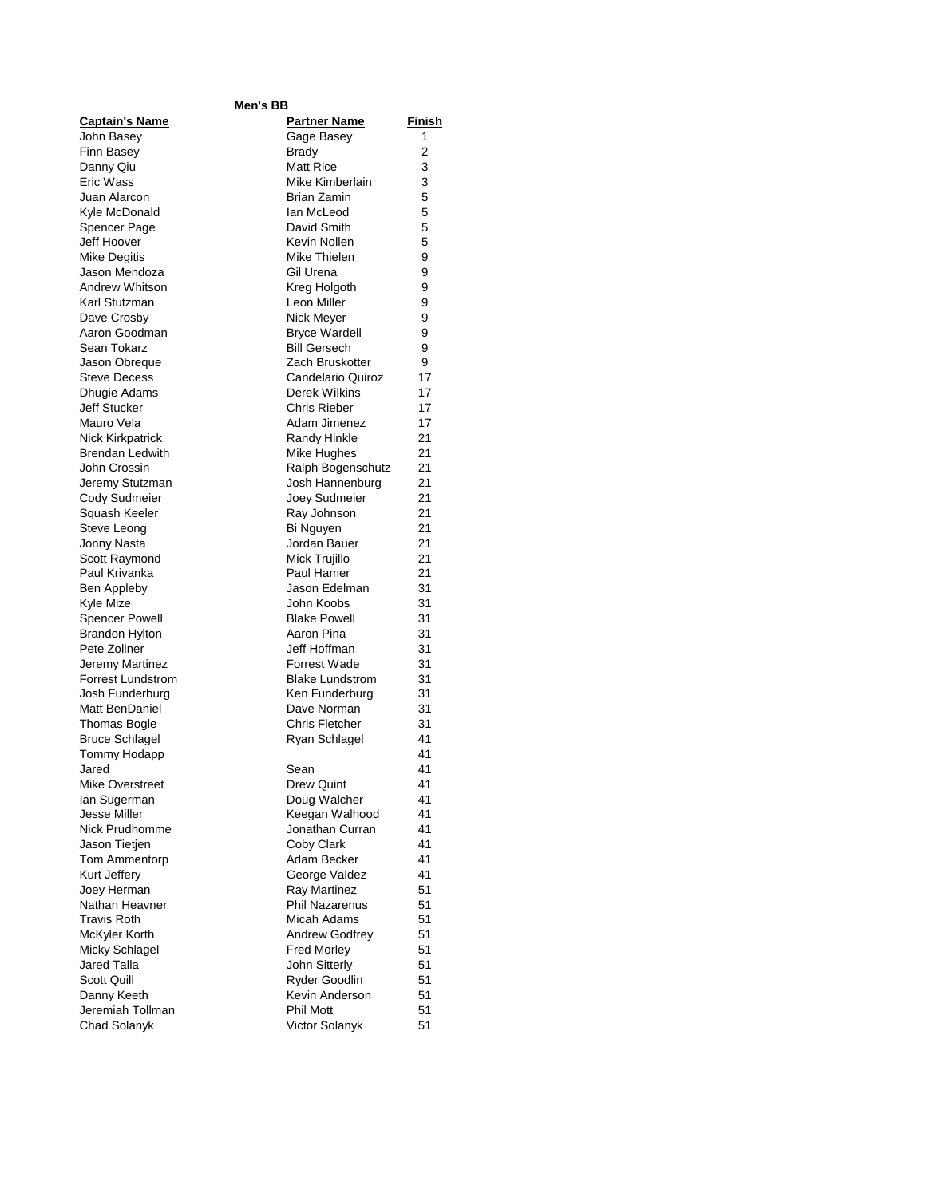| Men's BB                              |                               |          |  |
|---------------------------------------|-------------------------------|----------|--|
| <b>Captain's Name</b>                 | <b>Partner Name</b>           | Finish   |  |
| John Basey                            | Gage Basey                    | 1        |  |
| Finn Basey                            | <b>Brady</b>                  | 2        |  |
| Danny Qiu                             | <b>Matt Rice</b>              | 3        |  |
| Eric Wass                             | Mike Kimberlain               | 3        |  |
| Juan Alarcon                          | <b>Brian Zamin</b>            | 5        |  |
| Kyle McDonald                         | lan McLeod                    | 5        |  |
| Spencer Page                          | David Smith                   | 5        |  |
| Jeff Hoover                           | Kevin Nollen                  | 5        |  |
| <b>Mike Degitis</b>                   | Mike Thielen                  | 9        |  |
| Jason Mendoza                         | Gil Urena                     | 9        |  |
| Andrew Whitson                        | Kreg Holgoth                  | 9        |  |
| Karl Stutzman                         | Leon Miller                   | 9        |  |
| Dave Crosby                           | Nick Meyer                    | 9        |  |
| Aaron Goodman                         | <b>Bryce Wardell</b>          | 9        |  |
| Sean Tokarz                           | <b>Bill Gersech</b>           | 9        |  |
| Jason Obreque                         | Zach Bruskotter               | 9        |  |
| <b>Steve Decess</b>                   | Candelario Quiroz             | 17       |  |
| Dhugie Adams                          | Derek Wilkins                 | 17       |  |
| Jeff Stucker                          | Chris Rieber                  | 17       |  |
| Mauro Vela                            | Adam Jimenez                  | 17       |  |
| <b>Nick Kirkpatrick</b>               | Randy Hinkle                  | 21       |  |
| <b>Brendan Ledwith</b>                | <b>Mike Hughes</b>            | 21       |  |
| John Crossin                          | Ralph Bogenschutz             | 21       |  |
| Jeremy Stutzman                       | Josh Hannenburg               | 21       |  |
| Cody Sudmeier                         | Joey Sudmeier                 | 21       |  |
| Squash Keeler                         | Ray Johnson                   | 21       |  |
| Steve Leong                           | Bi Nguyen                     | 21       |  |
| Jonny Nasta                           | Jordan Bauer                  | 21       |  |
| Scott Raymond                         | Mick Trujillo                 | 21       |  |
| Paul Krivanka                         | Paul Hamer                    | 21       |  |
| Ben Appleby                           | Jason Edelman                 | 31       |  |
| Kyle Mize                             | John Koobs                    | 31       |  |
| <b>Spencer Powell</b>                 | <b>Blake Powell</b>           | 31       |  |
| <b>Brandon Hylton</b>                 | Aaron Pina                    | 31       |  |
| Pete Zollner                          | Jeff Hoffman                  | 31       |  |
| Jeremy Martinez                       | <b>Forrest Wade</b>           | 31       |  |
| <b>Forrest Lundstrom</b>              | <b>Blake Lundstrom</b>        | 31       |  |
| Josh Funderburg<br>Matt BenDaniel     | Ken Funderburg<br>Dave Norman | 31<br>31 |  |
|                                       | <b>Chris Fletcher</b>         | 31       |  |
| Thomas Bogle<br><b>Bruce Schlagel</b> | Ryan Schlagel                 | 41       |  |
| Tommy Hodapp                          |                               | 41       |  |
| Jared                                 | Sean                          | 41       |  |
| Mike Overstreet                       | Drew Quint                    | 41       |  |
| lan Sugerman                          | Doug Walcher                  | 41       |  |
| Jesse Miller                          | Keegan Walhood                | 41       |  |
| Nick Prudhomme                        | Jonathan Curran               | 41       |  |
| Jason Tietjen                         | Coby Clark                    | 41       |  |
| Tom Ammentorp                         | Adam Becker                   | 41       |  |
| Kurt Jeffery                          | George Valdez                 | 41       |  |
| Joey Herman                           | Ray Martinez                  | 51       |  |
| Nathan Heavner                        | <b>Phil Nazarenus</b>         | 51       |  |
| <b>Travis Roth</b>                    | Micah Adams                   | 51       |  |
| McKyler Korth                         | <b>Andrew Godfrey</b>         | 51       |  |
| Micky Schlagel                        | <b>Fred Morley</b>            | 51       |  |
| Jared Talla                           | John Sitterly                 | 51       |  |
| Scott Quill                           | Ryder Goodlin                 | 51       |  |
| Danny Keeth                           | Kevin Anderson                | 51       |  |
| Jeremiah Tollman                      | <b>Phil Mott</b>              | 51       |  |
| Chad Solanyk                          | Victor Solanyk                | 51       |  |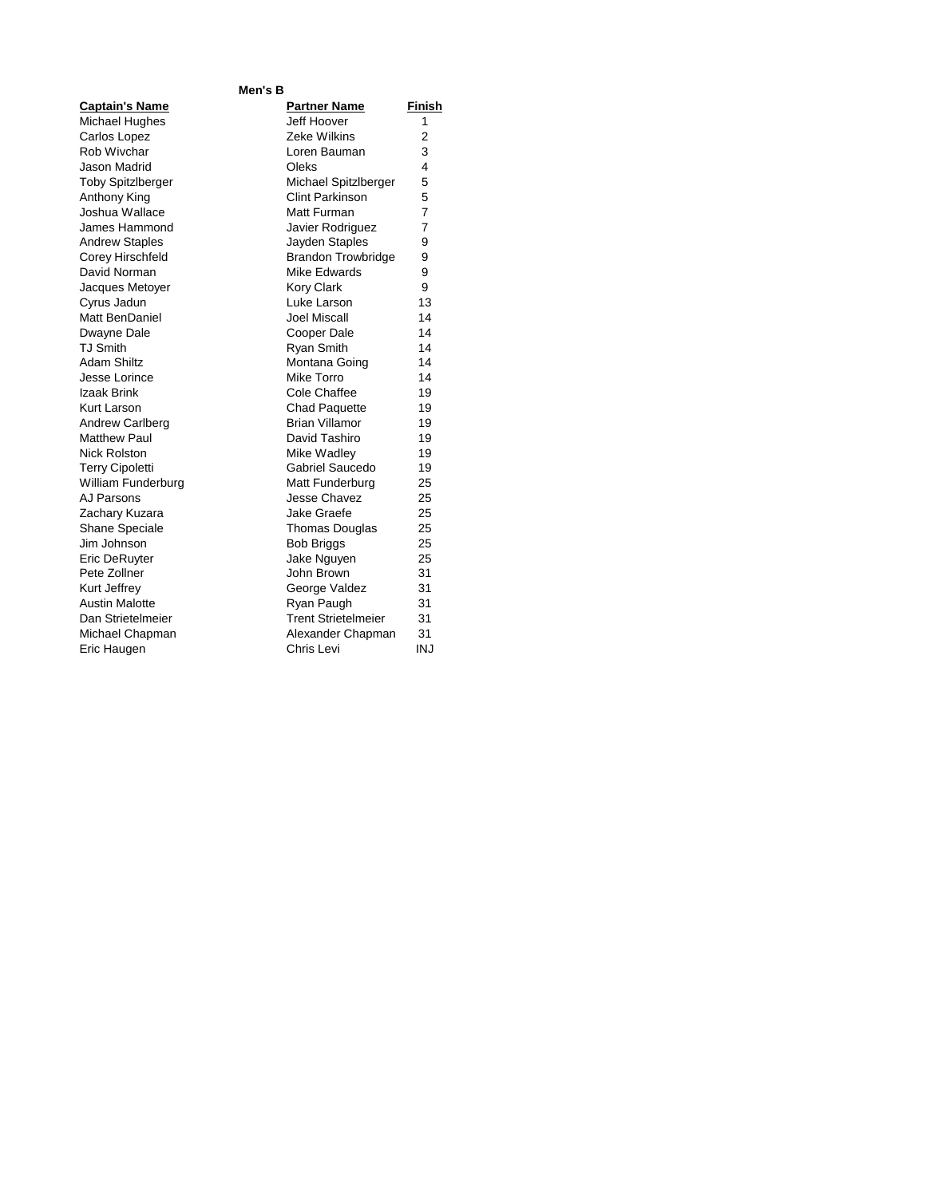### **Men's B**

| <b>Captain's Name</b>    |
|--------------------------|
| <b>Michael Hughes</b>    |
| Carlos Lopez             |
| Rob Wivchar              |
| Jason Madrid             |
| <b>Toby Spitzlberger</b> |
| Anthony King             |
| Joshua Wallace           |
| James Hammond            |
| <b>Andrew Staples</b>    |
| Corey Hirschfeld         |
| David Norman             |
| Jacques Metoyer          |
| Cyrus Jadun              |
| Matt BenDaniel           |
| Dwayne Dale              |
| <b>TJ Smith</b>          |
| <b>Adam Shiltz</b>       |
| Jesse Lorince            |
| Izaak Brink              |
| Kurt Larson              |
| <b>Andrew Carlberg</b>   |
| <b>Matthew Paul</b>      |
| <b>Nick Rolston</b>      |
| <b>Terry Cipoletti</b>   |
| William Funderburg       |
| AJ Parsons               |
| Zachary Kuzara           |
| <b>Shane Speciale</b>    |
| Jim Johnson              |
| Eric DeRuyter            |
| Pete Zollner             |
| Kurt Jeffrey             |
| <b>Austin Malotte</b>    |
| Dan Strietelmeier        |
| Michael Chapman          |
| Eric Haugen              |

| <b>Captain's Name</b>    | <b>Partner Name</b>        | <b>Finish</b>  |
|--------------------------|----------------------------|----------------|
| Michael Hughes           | Jeff Hoover                | 1              |
| Carlos Lopez             | Zeke Wilkins               | $\overline{2}$ |
| Rob Wivchar              | Loren Bauman               | 3              |
| <b>Jason Madrid</b>      | Oleks                      | 4              |
| <b>Toby Spitzlberger</b> | Michael Spitzlberger       | 5              |
| Anthony King             | Clint Parkinson            | 5              |
| Joshua Wallace           | Matt Furman                | $\overline{7}$ |
| James Hammond            | Javier Rodriguez           | $\overline{7}$ |
| <b>Andrew Staples</b>    | Jayden Staples             | 9              |
| Corey Hirschfeld         | <b>Brandon Trowbridge</b>  | 9              |
| David Norman             | <b>Mike Edwards</b>        | 9              |
| Jacques Metoyer          | <b>Kory Clark</b>          | 9              |
| Cyrus Jadun              | Luke Larson                | 13             |
| Matt BenDaniel           | Joel Miscall               | 14             |
| Dwayne Dale              | Cooper Dale                | 14             |
| <b>TJ Smith</b>          | Ryan Smith                 | 14             |
| <b>Adam Shiltz</b>       | Montana Going              | 14             |
| Jesse Lorince            | Mike Torro                 | 14             |
| Izaak Brink              | Cole Chaffee               | 19             |
| Kurt Larson              | <b>Chad Paquette</b>       | 19             |
| Andrew Carlberg          | Brian Villamor             | 19             |
| Matthew Paul             | David Tashiro              | 19             |
| <b>Nick Rolston</b>      | Mike Wadley                | 19             |
| <b>Terry Cipoletti</b>   | Gabriel Saucedo            | 19             |
| William Funderburg       | Matt Funderburg            | 25             |
| AJ Parsons               | Jesse Chavez               | 25             |
| Zachary Kuzara           | Jake Graefe                | 25             |
| <b>Shane Speciale</b>    | <b>Thomas Douglas</b>      | 25             |
| Jim Johnson              | <b>Bob Briggs</b>          | 25             |
| Eric DeRuyter            | Jake Nguyen                | 25             |
| Pete Zollner             | John Brown                 | 31             |
| Kurt Jeffrev             | George Valdez              | 31             |
| <b>Austin Malotte</b>    | Ryan Paugh                 | 31             |
| Dan Strietelmeier        | <b>Trent Strietelmeier</b> | 31             |
| Michael Chapman          | Alexander Chapman          | 31             |
| Eric Haugen              | Chris Levi                 | <b>INJ</b>     |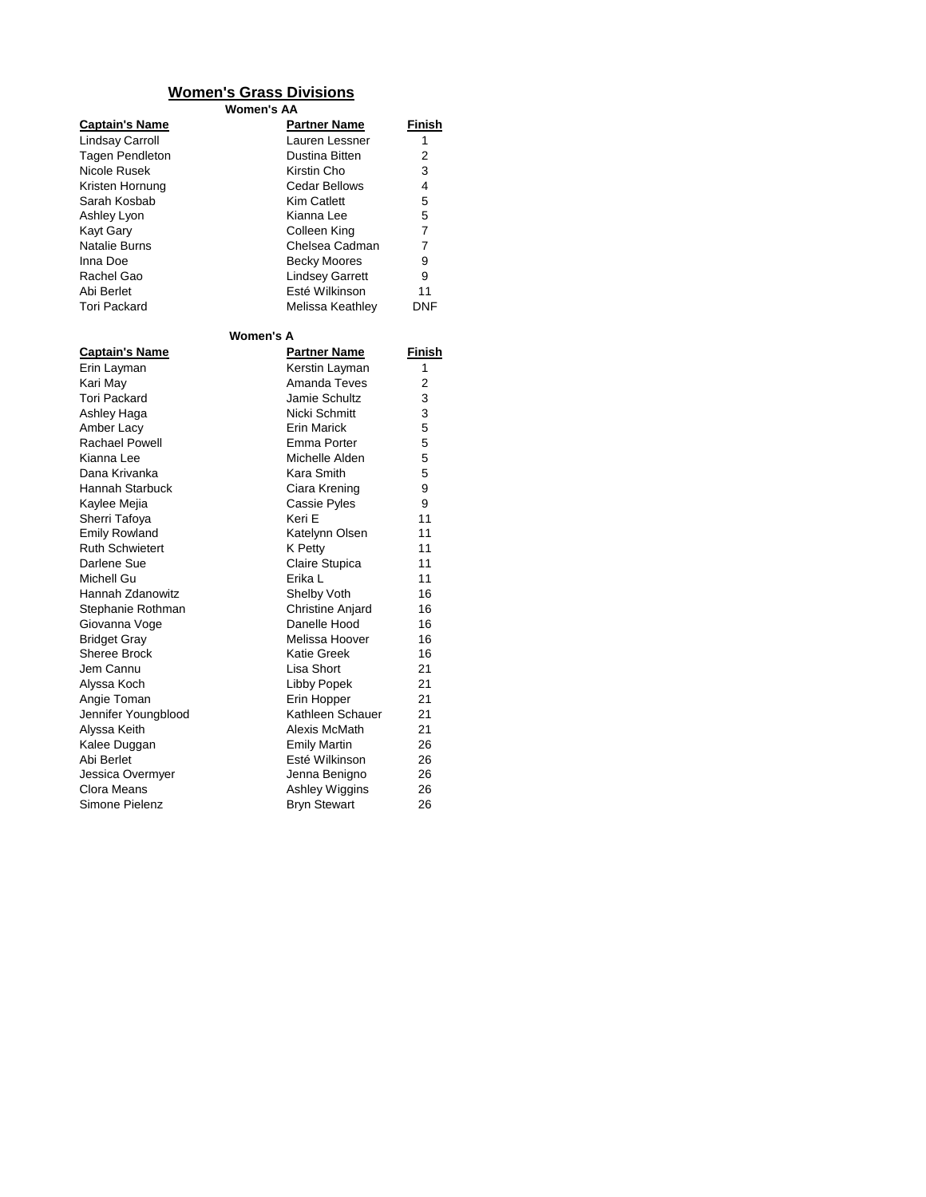# **Women's Grass Divisions**

**Women's AA**

| <b>Captain's Name</b><br><b>Lindsay Carroll</b><br><b>Tagen Pendleton</b><br>Nicole Rusek<br>Kristen Hornung<br>Sarah Kosbab<br>Ashley Lyon<br><b>Kayt Gary</b><br>Natalie Burns<br>Inna Doe<br>Rachel Gao<br>Abi Berlet<br><b>Tori Packard</b> | <u>Partner Name</u><br>Lauren Lessner<br>Dustina Bitten<br>Kirstin Cho<br><b>Cedar Bellows</b><br><b>Kim Catlett</b><br>Kianna Lee<br>Colleen King<br>Chelsea Cadman<br><b>Becky Moores</b><br><b>Lindsey Garrett</b><br>Esté Wilkinson<br>Melissa Keathley | Finish<br>1<br>2<br>3<br>4<br>5<br>5<br>7<br>7<br>9<br>9<br>11<br><b>DNF</b> |
|-------------------------------------------------------------------------------------------------------------------------------------------------------------------------------------------------------------------------------------------------|-------------------------------------------------------------------------------------------------------------------------------------------------------------------------------------------------------------------------------------------------------------|------------------------------------------------------------------------------|
|                                                                                                                                                                                                                                                 | Women's A                                                                                                                                                                                                                                                   |                                                                              |
| <u>Captain's Name</u>                                                                                                                                                                                                                           | <u>Partner Name</u>                                                                                                                                                                                                                                         | Finish                                                                       |
| Erin Layman                                                                                                                                                                                                                                     | Kerstin Layman                                                                                                                                                                                                                                              | 1                                                                            |
| Kari May                                                                                                                                                                                                                                        | Amanda Teves                                                                                                                                                                                                                                                | 2                                                                            |
| <b>Tori Packard</b>                                                                                                                                                                                                                             | Jamie Schultz                                                                                                                                                                                                                                               | 3                                                                            |
| Ashley Haga                                                                                                                                                                                                                                     | Nicki Schmitt                                                                                                                                                                                                                                               | 3                                                                            |
| Amber Lacy                                                                                                                                                                                                                                      | <b>Erin Marick</b>                                                                                                                                                                                                                                          | 5                                                                            |
| <b>Rachael Powell</b>                                                                                                                                                                                                                           | Emma Porter                                                                                                                                                                                                                                                 | 5                                                                            |
| Kianna Lee                                                                                                                                                                                                                                      | Michelle Alden                                                                                                                                                                                                                                              | 5                                                                            |
| Dana Krivanka                                                                                                                                                                                                                                   | Kara Smith                                                                                                                                                                                                                                                  | 5                                                                            |
| <b>Hannah Starbuck</b>                                                                                                                                                                                                                          | Ciara Krening                                                                                                                                                                                                                                               | 9                                                                            |
| Kaylee Mejia                                                                                                                                                                                                                                    | Cassie Pyles                                                                                                                                                                                                                                                | 9                                                                            |
| Sherri Tafoya                                                                                                                                                                                                                                   | Keri E                                                                                                                                                                                                                                                      | 11                                                                           |
| <b>Emily Rowland</b>                                                                                                                                                                                                                            | Katelynn Olsen                                                                                                                                                                                                                                              | 11                                                                           |
| <b>Ruth Schwietert</b>                                                                                                                                                                                                                          | K Petty                                                                                                                                                                                                                                                     | 11                                                                           |
| Darlene Sue                                                                                                                                                                                                                                     | Claire Stupica                                                                                                                                                                                                                                              | 11                                                                           |
| Michell Gu                                                                                                                                                                                                                                      | Erika L                                                                                                                                                                                                                                                     | 11                                                                           |
| Hannah Zdanowitz                                                                                                                                                                                                                                | Shelby Voth                                                                                                                                                                                                                                                 | 16                                                                           |
| Stephanie Rothman                                                                                                                                                                                                                               | <b>Christine Anjard</b>                                                                                                                                                                                                                                     | 16                                                                           |
| Giovanna Voge                                                                                                                                                                                                                                   | Danelle Hood                                                                                                                                                                                                                                                | 16                                                                           |
| <b>Bridget Gray</b>                                                                                                                                                                                                                             | Melissa Hoover                                                                                                                                                                                                                                              | 16                                                                           |
| <b>Sheree Brock</b>                                                                                                                                                                                                                             | <b>Katie Greek</b>                                                                                                                                                                                                                                          | 16                                                                           |
| Jem Cannu                                                                                                                                                                                                                                       | Lisa Short                                                                                                                                                                                                                                                  | 21                                                                           |
| Alyssa Koch                                                                                                                                                                                                                                     | <b>Libby Popek</b>                                                                                                                                                                                                                                          | 21                                                                           |
| Angie Toman                                                                                                                                                                                                                                     | Erin Hopper                                                                                                                                                                                                                                                 | 21                                                                           |
| Jennifer Youngblood                                                                                                                                                                                                                             | Kathleen Schauer                                                                                                                                                                                                                                            | 21                                                                           |
| Alyssa Keith                                                                                                                                                                                                                                    | Alexis McMath                                                                                                                                                                                                                                               | 21                                                                           |
| Kalee Duggan                                                                                                                                                                                                                                    | <b>Emily Martin</b>                                                                                                                                                                                                                                         | 26                                                                           |
| Abi Berlet                                                                                                                                                                                                                                      | Esté Wilkinson                                                                                                                                                                                                                                              | 26                                                                           |
| Jessica Overmyer                                                                                                                                                                                                                                | Jenna Benigno                                                                                                                                                                                                                                               | 26                                                                           |
| Clora Means                                                                                                                                                                                                                                     | Ashley Wiggins                                                                                                                                                                                                                                              | 26                                                                           |
| Simone Pielenz                                                                                                                                                                                                                                  | <b>Bryn Stewart</b>                                                                                                                                                                                                                                         | 26                                                                           |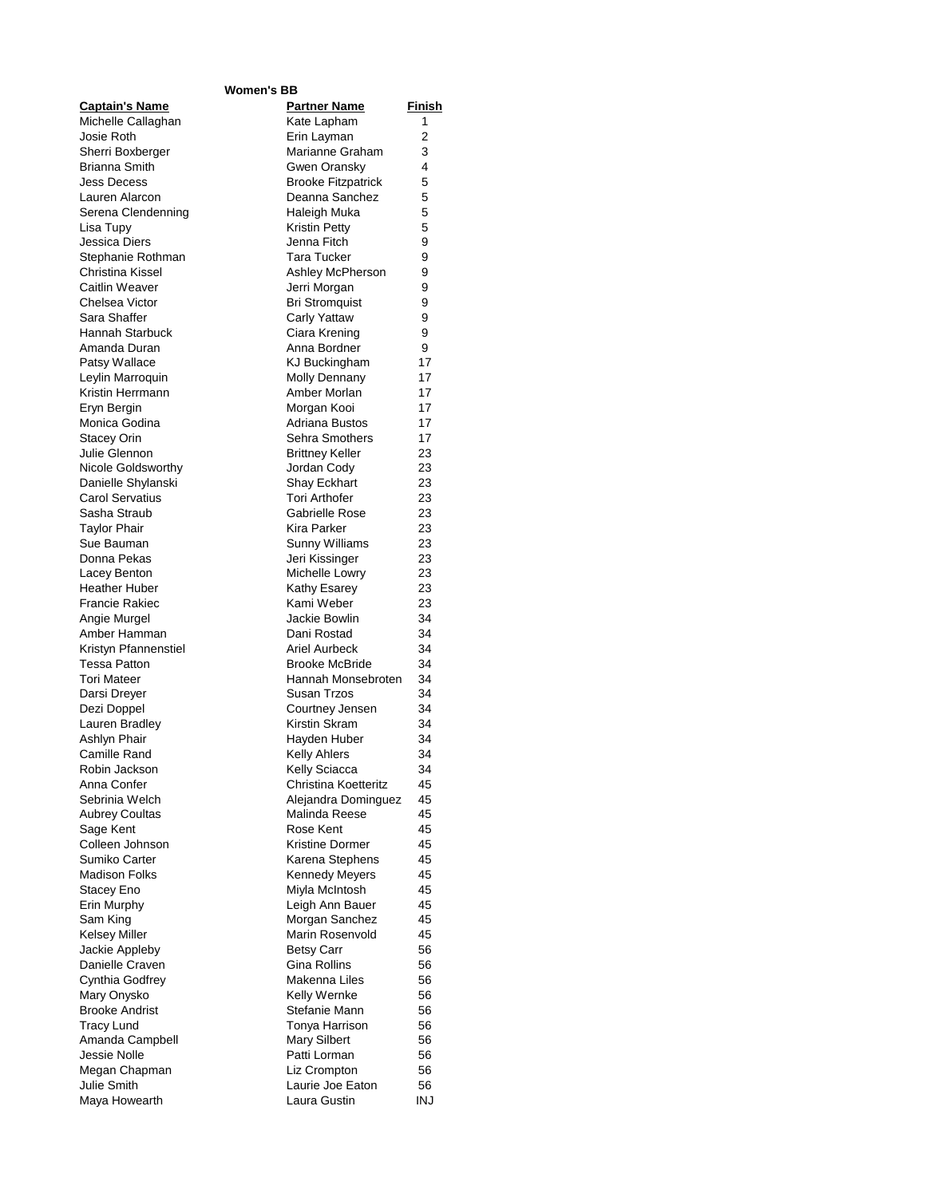### **Women's BB**

| <b>Captain's Name</b>                         | <b>Partner Name</b>        | <u>Finish</u> |
|-----------------------------------------------|----------------------------|---------------|
| Michelle Callaghan                            | Kate Lapham                | 1             |
| Josie Roth                                    | Erin Layman                | 2             |
| Sherri Boxberger                              | Marianne Graham            | 3             |
| <b>Brianna Smith</b>                          | Gwen Oransky               | 4             |
| <b>Jess Decess</b>                            | <b>Brooke Fitzpatrick</b>  | 5             |
| Lauren Alarcon                                | Deanna Sanchez             | 5             |
| Serena Clendenning                            | Haleigh Muka               | 5             |
| Lisa Tupy                                     | <b>Kristin Petty</b>       | 5             |
| Jessica Diers                                 | Jenna Fitch                | 9             |
| Stephanie Rothman                             | <b>Tara Tucker</b>         | 9             |
| Christina Kissel                              | Ashley McPherson           | 9             |
| Caitlin Weaver                                | Jerri Morgan               | 9             |
| Chelsea Victor                                | <b>Bri Stromquist</b>      | 9             |
| Sara Shaffer                                  | Carly Yattaw               | 9             |
| <b>Hannah Starbuck</b>                        | Ciara Krening              | 9             |
| Amanda Duran                                  | Anna Bordner               | 9             |
| Patsy Wallace                                 | KJ Buckingham              | 17            |
| Leylin Marroquin                              | <b>Molly Dennany</b>       | 17            |
| Kristin Herrmann                              | Amber Morlan               | 17            |
| Eryn Bergin                                   | Morgan Kooi                | 17            |
| Monica Godina                                 | Adriana Bustos             | 17            |
| Stacey Orin                                   | Sehra Smothers             | 17            |
| Julie Glennon                                 | <b>Brittney Keller</b>     | 23            |
| Nicole Goldsworthy                            | Jordan Cody                | 23            |
| Danielle Shylanski                            | Shay Eckhart               | 23            |
| Carol Servatius                               | <b>Tori Arthofer</b>       | 23            |
| Sasha Straub                                  | Gabrielle Rose             | 23            |
| Taylor Phair                                  | Kira Parker                | 23            |
| Sue Bauman                                    | Sunny Williams             | 23            |
| Donna Pekas                                   | Jeri Kissinger             | 23            |
| Lacey Benton                                  | Michelle Lowry             | 23            |
| <b>Heather Huber</b><br><b>Francie Rakiec</b> | Kathy Esarey<br>Kami Weber | 23            |
| Angie Murgel                                  | Jackie Bowlin              | 23<br>34      |
| Amber Hamman                                  | Dani Rostad                | 34            |
| Kristyn Pfannenstiel                          | Ariel Aurbeck              | 34            |
| Tessa Patton                                  | <b>Brooke McBride</b>      | 34            |
| Tori Mateer                                   | Hannah Monsebroten         | 34            |
| Darsi Dreyer                                  | Susan Trzos                | 34            |
| Dezi Doppel                                   | Courtney Jensen            | 34            |
| Lauren Bradley                                | Kirstin Skram              | 34            |
| <b>Ashlyn Phair</b>                           | Hayden Huber               | 34            |
| Camille Rand                                  | <b>Kelly Ahlers</b>        | 34            |
| Robin Jackson                                 | Kelly Sciacca              | 34            |
| Anna Confer                                   | Christina Koetteritz       | 45            |
| Sebrinia Welch                                | Alejandra Dominguez        | 45            |
| <b>Aubrey Coultas</b>                         | Malinda Reese              | 45            |
| Sage Kent                                     | Rose Kent                  | 45            |
| Colleen Johnson                               | Kristine Dormer            | 45            |
| Sumiko Carter                                 | Karena Stephens            | 45            |
| <b>Madison Folks</b>                          | <b>Kennedy Meyers</b>      | 45            |
| Stacey Eno                                    | Miyla McIntosh             | 45            |
| Erin Murphy                                   | Leigh Ann Bauer            | 45            |
| Sam King                                      | Morgan Sanchez             | 45            |
| <b>Kelsey Miller</b>                          | Marin Rosenvold            | 45            |
| Jackie Appleby                                | <b>Betsy Carr</b>          | 56            |
| Danielle Craven                               | Gina Rollins               | 56            |
| Cynthia Godfrey                               | Makenna Liles              | 56            |
| Mary Onysko                                   | Kelly Wernke               | 56            |
| <b>Brooke Andrist</b>                         | Stefanie Mann              | 56            |
| Tracy Lund                                    | Tonya Harrison             | 56            |
| Amanda Campbell                               | <b>Mary Silbert</b>        | 56            |
| Jessie Nolle                                  | Patti Lorman               | 56            |
| Megan Chapman                                 | Liz Crompton               | 56            |
| Julie Smith                                   | Laurie Joe Eaton           | 56            |
| Maya Howearth                                 | Laura Gustin               | INJ           |
|                                               |                            |               |